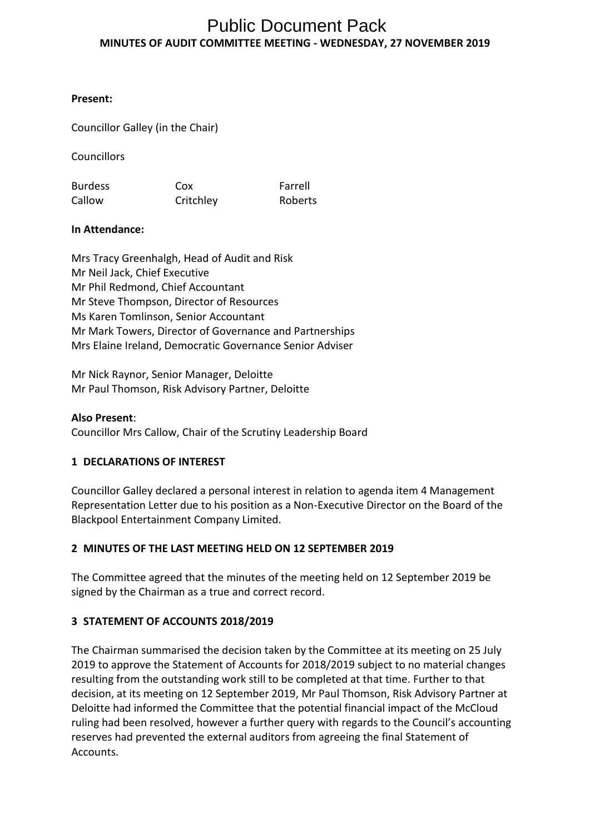# **MINUTES OF AUDIT COMMITTEE MEETING - WEDNESDAY, 27 NOVEMBER 2019** Public Document Pack

## **Present:**

Councillor Galley (in the Chair)

Councillors

Burdess Callow Cox **Critchley** Farrell Roberts

## **In Attendance:**

Mrs Tracy Greenhalgh, Head of Audit and Risk Mr Neil Jack, Chief Executive Mr Phil Redmond, Chief Accountant Mr Steve Thompson, Director of Resources Ms Karen Tomlinson, Senior Accountant Mr Mark Towers, Director of Governance and Partnerships Mrs Elaine Ireland, Democratic Governance Senior Adviser

Mr Nick Raynor, Senior Manager, Deloitte Mr Paul Thomson, Risk Advisory Partner, Deloitte

#### **Also Present**:

Councillor Mrs Callow, Chair of the Scrutiny Leadership Board

# **1 DECLARATIONS OF INTEREST**

Councillor Galley declared a personal interest in relation to agenda item 4 Management Representation Letter due to his position as a Non-Executive Director on the Board of the Blackpool Entertainment Company Limited.

# **2 MINUTES OF THE LAST MEETING HELD ON 12 SEPTEMBER 2019**

The Committee agreed that the minutes of the meeting held on 12 September 2019 be signed by the Chairman as a true and correct record.

# **3 STATEMENT OF ACCOUNTS 2018/2019**

The Chairman summarised the decision taken by the Committee at its meeting on 25 July 2019 to approve the Statement of Accounts for 2018/2019 subject to no material changes resulting from the outstanding work still to be completed at that time. Further to that decision, at its meeting on 12 September 2019, Mr Paul Thomson, Risk Advisory Partner at Deloitte had informed the Committee that the potential financial impact of the McCloud ruling had been resolved, however a further query with regards to the Council's accounting reserves had prevented the external auditors from agreeing the final Statement of **Accounts**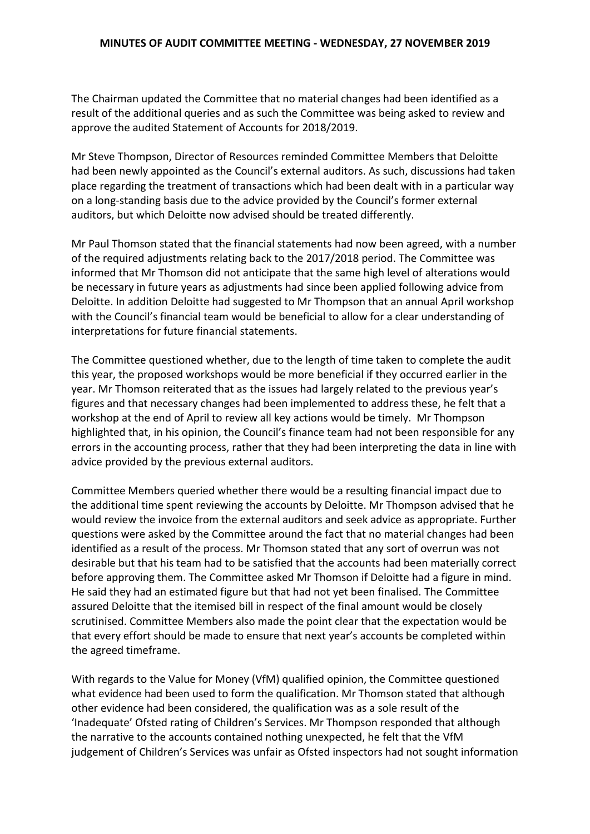The Chairman updated the Committee that no material changes had been identified as a result of the additional queries and as such the Committee was being asked to review and approve the audited Statement of Accounts for 2018/2019.

Mr Steve Thompson, Director of Resources reminded Committee Members that Deloitte had been newly appointed as the Council's external auditors. As such, discussions had taken place regarding the treatment of transactions which had been dealt with in a particular way on a long-standing basis due to the advice provided by the Council's former external auditors, but which Deloitte now advised should be treated differently.

Mr Paul Thomson stated that the financial statements had now been agreed, with a number of the required adjustments relating back to the 2017/2018 period. The Committee was informed that Mr Thomson did not anticipate that the same high level of alterations would be necessary in future years as adjustments had since been applied following advice from Deloitte. In addition Deloitte had suggested to Mr Thompson that an annual April workshop with the Council's financial team would be beneficial to allow for a clear understanding of interpretations for future financial statements.

The Committee questioned whether, due to the length of time taken to complete the audit this year, the proposed workshops would be more beneficial if they occurred earlier in the year. Mr Thomson reiterated that as the issues had largely related to the previous year's figures and that necessary changes had been implemented to address these, he felt that a workshop at the end of April to review all key actions would be timely. Mr Thompson highlighted that, in his opinion, the Council's finance team had not been responsible for any errors in the accounting process, rather that they had been interpreting the data in line with advice provided by the previous external auditors.

Committee Members queried whether there would be a resulting financial impact due to the additional time spent reviewing the accounts by Deloitte. Mr Thompson advised that he would review the invoice from the external auditors and seek advice as appropriate. Further questions were asked by the Committee around the fact that no material changes had been identified as a result of the process. Mr Thomson stated that any sort of overrun was not desirable but that his team had to be satisfied that the accounts had been materially correct before approving them. The Committee asked Mr Thomson if Deloitte had a figure in mind. He said they had an estimated figure but that had not yet been finalised. The Committee assured Deloitte that the itemised bill in respect of the final amount would be closely scrutinised. Committee Members also made the point clear that the expectation would be that every effort should be made to ensure that next year's accounts be completed within the agreed timeframe.

With regards to the Value for Money (VfM) qualified opinion, the Committee questioned what evidence had been used to form the qualification. Mr Thomson stated that although other evidence had been considered, the qualification was as a sole result of the 'Inadequate' Ofsted rating of Children's Services. Mr Thompson responded that although the narrative to the accounts contained nothing unexpected, he felt that the VfM judgement of Children's Services was unfair as Ofsted inspectors had not sought information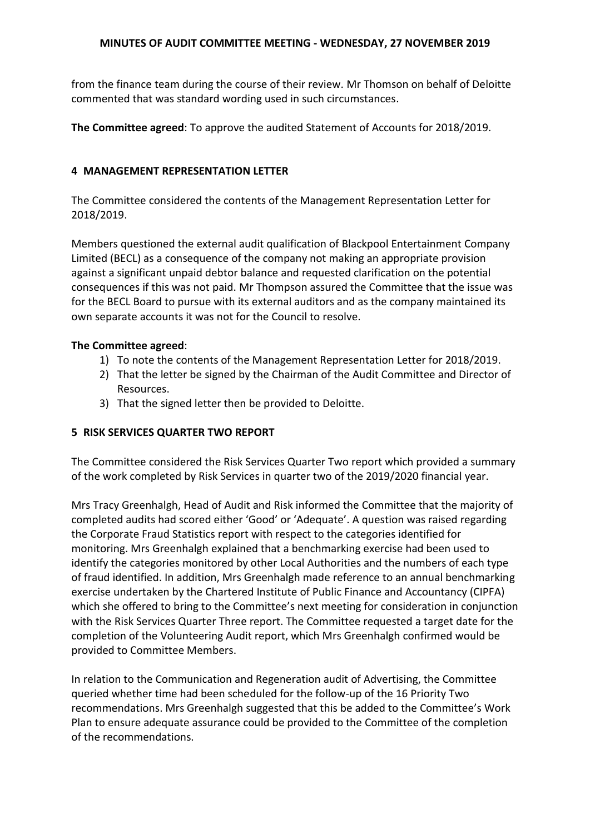from the finance team during the course of their review. Mr Thomson on behalf of Deloitte commented that was standard wording used in such circumstances.

**The Committee agreed**: To approve the audited Statement of Accounts for 2018/2019.

### **4 MANAGEMENT REPRESENTATION LETTER**

The Committee considered the contents of the Management Representation Letter for 2018/2019.

Members questioned the external audit qualification of Blackpool Entertainment Company Limited (BECL) as a consequence of the company not making an appropriate provision against a significant unpaid debtor balance and requested clarification on the potential consequences if this was not paid. Mr Thompson assured the Committee that the issue was for the BECL Board to pursue with its external auditors and as the company maintained its own separate accounts it was not for the Council to resolve.

## **The Committee agreed**:

- 1) To note the contents of the Management Representation Letter for 2018/2019.
- 2) That the letter be signed by the Chairman of the Audit Committee and Director of Resources.
- 3) That the signed letter then be provided to Deloitte.

# **5 RISK SERVICES QUARTER TWO REPORT**

The Committee considered the Risk Services Quarter Two report which provided a summary of the work completed by Risk Services in quarter two of the 2019/2020 financial year.

Mrs Tracy Greenhalgh, Head of Audit and Risk informed the Committee that the majority of completed audits had scored either 'Good' or 'Adequate'. A question was raised regarding the Corporate Fraud Statistics report with respect to the categories identified for monitoring. Mrs Greenhalgh explained that a benchmarking exercise had been used to identify the categories monitored by other Local Authorities and the numbers of each type of fraud identified. In addition, Mrs Greenhalgh made reference to an annual benchmarking exercise undertaken by the Chartered Institute of Public Finance and Accountancy (CIPFA) which she offered to bring to the Committee's next meeting for consideration in conjunction with the Risk Services Quarter Three report. The Committee requested a target date for the completion of the Volunteering Audit report, which Mrs Greenhalgh confirmed would be provided to Committee Members.

In relation to the Communication and Regeneration audit of Advertising, the Committee queried whether time had been scheduled for the follow-up of the 16 Priority Two recommendations. Mrs Greenhalgh suggested that this be added to the Committee's Work Plan to ensure adequate assurance could be provided to the Committee of the completion of the recommendations.